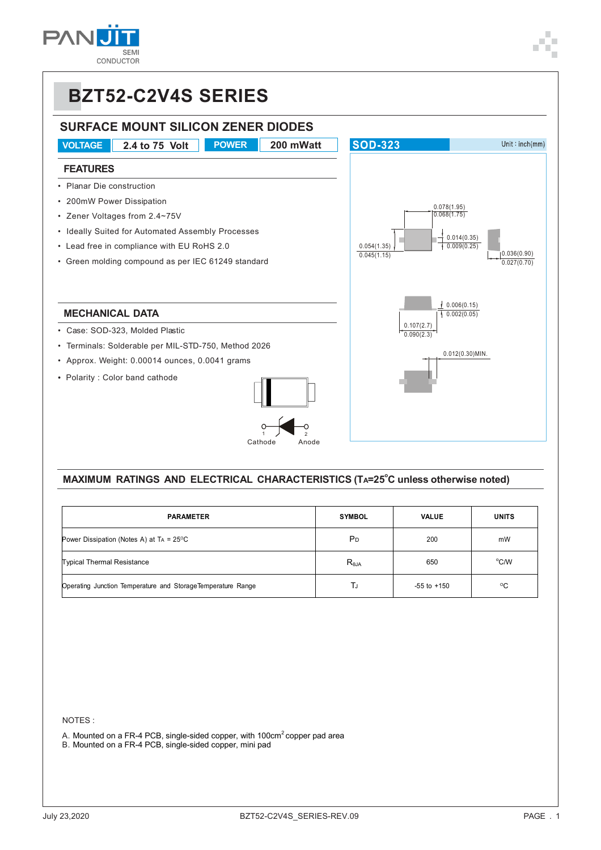



#### **MAXIMUM RATINGS AND ELECTRICAL CHARACTERISTICS (TA=25<sup>°</sup>C unless otherwise noted)**

| <b>PARAMETER</b>                                            | <b>SYMBOL</b>  | <b>VALUE</b>    | <b>UNITS</b> |
|-------------------------------------------------------------|----------------|-----------------|--------------|
| Power Dissipation (Notes A) at $Ta = 25^{\circ}C$           | P <sub>D</sub> | 200             | mW           |
| <b>Typical Thermal Resistance</b>                           | $R_{\theta$ JA | 650             | °C/W         |
| Operating Junction Temperature and StorageTemperature Range | TJ             | $-55$ to $+150$ | $^{\circ}$ C |

NOTES :

A. Mounted on a FR-4 PCB, single-sided copper, with 100cm<sup>2</sup> copper pad area

B. Mounted on a FR-4 PCB, single-sided copper, mini pad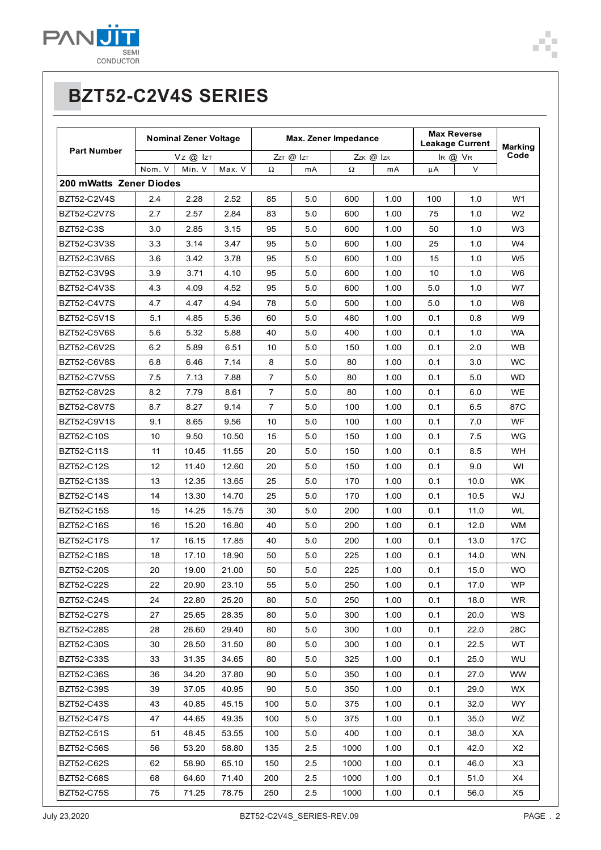

|                         | <b>Nominal Zener Voltage</b> |        |                | Max. Zener Impedance |                            |      |               | <b>Max Reverse</b><br><b>Leakage Current</b> |        | Marking        |
|-------------------------|------------------------------|--------|----------------|----------------------|----------------------------|------|---------------|----------------------------------------------|--------|----------------|
| <b>Part Number</b>      | $Vz$ $@$ $ z $               |        | $ZzT$ @ $ zT $ |                      | $ZzK \n\mathcal{Q}$ $ zK $ |      | $IR$ $@$ $VR$ |                                              | Code   |                |
|                         | Nom. V                       | Min. V | Max. V         | Ω                    | m <sub>A</sub>             | Ω    | mA            | μA                                           | $\vee$ |                |
| 200 mWatts Zener Diodes |                              |        |                |                      |                            |      |               |                                              |        |                |
| BZT52-C2V4S             | 2.4                          | 2.28   | 2.52           | 85                   | 5.0                        | 600  | 1.00          | 100                                          | 1.0    | W1             |
| BZT52-C2V7S             | 2.7                          | 2.57   | 2.84           | 83                   | 5.0                        | 600  | 1.00          | 75                                           | 1.0    | W <sub>2</sub> |
| <b>BZT52-C3S</b>        | 3.0                          | 2.85   | 3.15           | 95                   | 5.0                        | 600  | 1.00          | 50                                           | 1.0    | W <sub>3</sub> |
| BZT52-C3V3S             | 3.3                          | 3.14   | 3.47           | 95                   | 5.0                        | 600  | 1.00          | 25                                           | 1.0    | W4             |
| BZT52-C3V6S             | 3.6                          | 3.42   | 3.78           | 95                   | 5.0                        | 600  | 1.00          | 15                                           | 1.0    | W5             |
| BZT52-C3V9S             | 3.9                          | 3.71   | 4.10           | 95                   | 5.0                        | 600  | 1.00          | 10                                           | 1.0    | W6             |
| BZT52-C4V3S             | 4.3                          | 4.09   | 4.52           | 95                   | 5.0                        | 600  | 1.00          | 5.0                                          | 1.0    | W7             |
| <b>BZT52-C4V7S</b>      | 4.7                          | 4.47   | 4.94           | 78                   | 5.0                        | 500  | 1.00          | 5.0                                          | 1.0    | W8             |
| BZT52-C5V1S             | 5.1                          | 4.85   | 5.36           | 60                   | 5.0                        | 480  | 1.00          | 0.1                                          | 0.8    | W9             |
| <b>BZT52-C5V6S</b>      | 5.6                          | 5.32   | 5.88           | 40                   | 5.0                        | 400  | 1.00          | 0.1                                          | 1.0    | <b>WA</b>      |
| <b>BZT52-C6V2S</b>      | 6.2                          | 5.89   | 6.51           | 10                   | 5.0                        | 150  | 1.00          | 0.1                                          | 2.0    | <b>WB</b>      |
| <b>BZT52-C6V8S</b>      | 6.8                          | 6.46   | 7.14           | 8                    | 5.0                        | 80   | 1.00          | 0.1                                          | 3.0    | <b>WC</b>      |
| <b>BZT52-C7V5S</b>      | 7.5                          | 7.13   | 7.88           | $\overline{7}$       | 5.0                        | 80   | 1.00          | 0.1                                          | 5.0    | WD.            |
| BZT52-C8V2S             | 8.2                          | 7.79   | 8.61           | $\overline{7}$       | 5.0                        | 80   | 1.00          | 0.1                                          | 6.0    | WE             |
| BZT52-C8V7S             | 8.7                          | 8.27   | 9.14           | $\overline{7}$       | 5.0                        | 100  | 1.00          | 0.1                                          | 6.5    | 87C            |
| BZT52-C9V1S             | 9.1                          | 8.65   | 9.56           | 10                   | 5.0                        | 100  | 1.00          | 0.1                                          | 7.0    | WF             |
| BZT52-C10S              | 10                           | 9.50   | 10.50          | 15                   | 5.0                        | 150  | 1.00          | 0.1                                          | 7.5    | WG.            |
| BZT52-C11S              | 11                           | 10.45  | 11.55          | 20                   | 5.0                        | 150  | 1.00          | 0.1                                          | 8.5    | <b>WH</b>      |
| BZT52-C12S              | 12                           | 11.40  | 12.60          | 20                   | 5.0                        | 150  | 1.00          | 0.1                                          | 9.0    | WI             |
| BZT52-C13S              | 13                           | 12.35  | 13.65          | 25                   | 5.0                        | 170  | 1.00          | 0.1                                          | 10.0   | WK.            |
| BZT52-C14S              | 14                           | 13.30  | 14.70          | 25                   | 5.0                        | 170  | 1.00          | 0.1                                          | 10.5   | WJ.            |
| BZT52-C15S              | 15                           | 14.25  | 15.75          | 30                   | 5.0                        | 200  | 1.00          | 0.1                                          | 11.0   | WL.            |
| BZT52-C16S              | 16                           | 15.20  | 16.80          | 40                   | 5.0                        | 200  | 1.00          | 0.1                                          | 12.0   | WM             |
| BZT52-C17S              | 17                           | 16.15  | 17.85          | 40                   | 5.0                        | 200  | 1.00          | 0.1                                          | 13.0   | 17C            |
| BZT52-C18S              | 18                           | 17.10  | 18.90          | 50                   | 5.0                        | 225  | 1.00          | 0.1                                          | 14.0   | <b>WN</b>      |
| <b>BZT52-C20S</b>       | 20                           | 19.00  | 21.00          | 50                   | 5.0                        | 225  | 1.00          | 0.1                                          | 15.0   | WO.            |
| BZT52-C22S              | 22                           | 20.90  | 23.10          | 55                   | 5.0                        | 250  | 1.00          | 0.1                                          | 17.0   | WP             |
| BZT52-C24S              | 24                           | 22.80  | 25.20          | 80                   | 5.0                        | 250  | 1.00          | 0.1                                          | 18.0   | <b>WR</b>      |
| <b>BZT52-C27S</b>       | 27                           | 25.65  | 28.35          | 80                   | 5.0                        | 300  | 1.00          | 0.1                                          | 20.0   | WS.            |
| <b>BZT52-C28S</b>       | 28                           | 26.60  | 29.40          | 80                   | 5.0                        | 300  | 1.00          | 0.1                                          | 22.0   | 28C            |
| BZT52-C30S              | 30                           | 28.50  | 31.50          | 80                   | 5.0                        | 300  | 1.00          | 0.1                                          | 22.5   | WT.            |
| BZT52-C33S              | 33                           | 31.35  | 34.65          | 80                   | 5.0                        | 325  | 1.00          | 0.1                                          | 25.0   | WU.            |
| BZT52-C36S              | 36                           | 34.20  | 37.80          | 90                   | 5.0                        | 350  | 1.00          | 0.1                                          | 27.0   | <b>WW</b>      |
| BZT52-C39S              | 39                           | 37.05  | 40.95          | 90                   | 5.0                        | 350  | 1.00          | 0.1                                          | 29.0   | WX.            |
| BZT52-C43S              | 43                           | 40.85  | 45.15          | 100                  | 5.0                        | 375  | 1.00          | 0.1                                          | 32.0   | WY.            |
| <b>BZT52-C47S</b>       | 47                           | 44.65  | 49.35          | 100                  | 5.0                        | 375  | 1.00          | 0.1                                          | 35.0   | WZ             |
| <b>BZT52-C51S</b>       | 51                           | 48.45  | 53.55          | 100                  | 5.0                        | 400  | 1.00          | 0.1                                          | 38.0   | ХA             |
| BZT52-C56S              | 56                           | 53.20  | 58.80          | 135                  | 2.5                        | 1000 | 1.00          | 0.1                                          | 42.0   | X2             |
| <b>BZT52-C62S</b>       | 62                           | 58.90  | 65.10          | 150                  | 2.5                        | 1000 | 1.00          | 0.1                                          | 46.0   | X3             |
| <b>BZT52-C68S</b>       | 68                           | 64.60  | 71.40          | 200                  | 2.5                        | 1000 | 1.00          | 0.1                                          | 51.0   | X4             |
| <b>BZT52-C75S</b>       | 75                           | 71.25  | 78.75          | 250                  | 2.5                        | 1000 | 1.00          | 0.1                                          | 56.0   | X5             |

F.  $\blacksquare$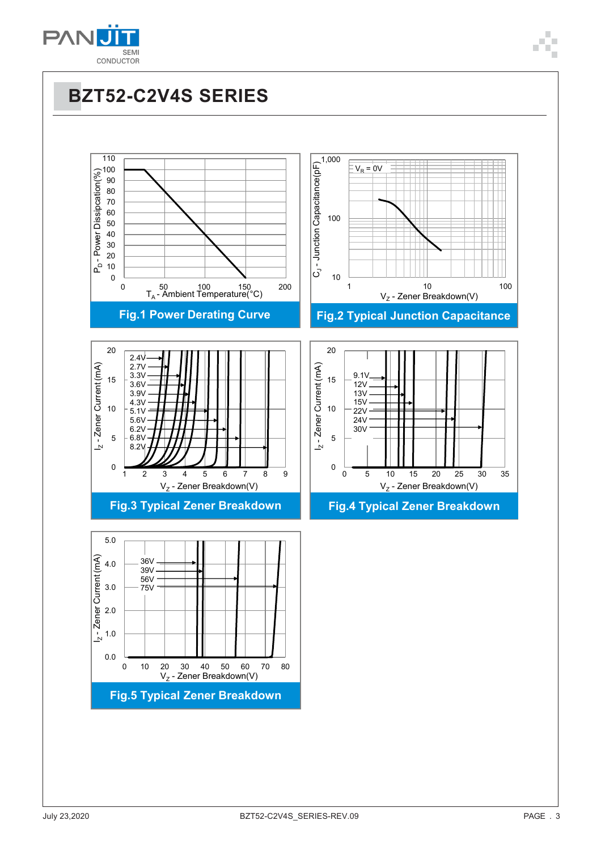

# **BZT52-C2V4S SERIES**

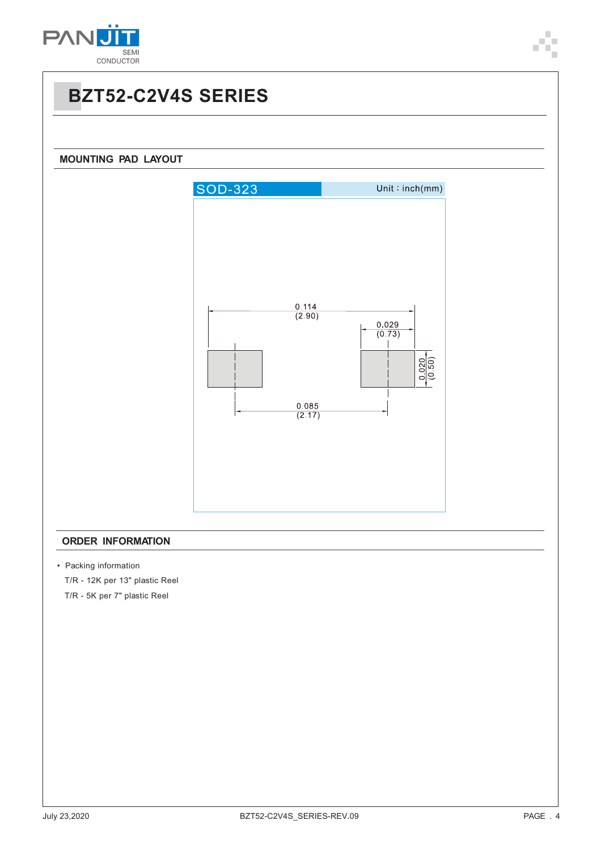

### **BZT52-C2V4S SERIES**



#### **ORDER INFORMATION**

• Packing information

T/R - 12K per 13" plastic Reel

T/R - 5K per 7" plastic Reel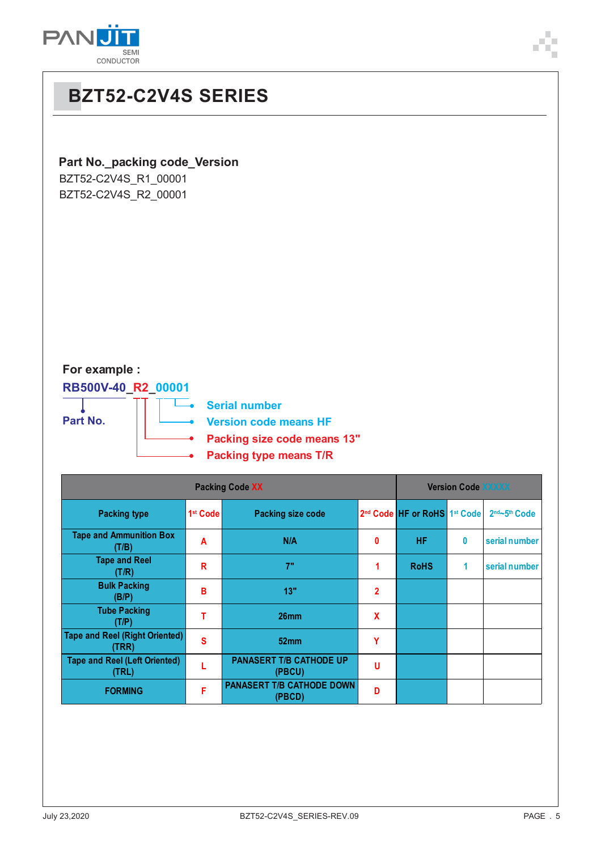

## **BZT52-C2V4S SERIES**

#### **Part No.\_packing code\_Version**

BZT52-C2V4S\_R1\_00001 BZT52-C2V4S\_R2\_00001

### **For example :**

**RB500V-40\_R2\_00001** T

**Serial number** 

**Part No.**

**Version code means HF**

- **Packing size code means 13"**
- **Packing type means T/R**

| <b>Packing Code XX</b>                         |                      |                                            |                |                              | <b>Version Code XXXXX</b> |               |  |  |
|------------------------------------------------|----------------------|--------------------------------------------|----------------|------------------------------|---------------------------|---------------|--|--|
| <b>Packing type</b>                            | 1 <sup>st</sup> Code | <b>Packing size code</b>                   |                | 2nd Code HF or RoHS 1st Code |                           | 2nd~5th Code  |  |  |
| <b>Tape and Ammunition Box</b><br>(T/B)        | A                    | N/A                                        | 0              | <b>HF</b>                    | 0                         | serial number |  |  |
| <b>Tape and Reel</b><br>(T/R)                  | R                    | 7"                                         | 1              | <b>RoHS</b>                  | 1                         | serial number |  |  |
| <b>Bulk Packing</b><br>(B/P)                   | B                    | 13"                                        | $\overline{2}$ |                              |                           |               |  |  |
| <b>Tube Packing</b><br>(T/P)                   | т                    | 26 <sub>mm</sub>                           | X              |                              |                           |               |  |  |
| <b>Tape and Reel (Right Oriented)</b><br>(TRR) | S                    | 52 <sub>mm</sub>                           | Y              |                              |                           |               |  |  |
| <b>Tape and Reel (Left Oriented)</b><br>(TRL)  |                      | <b>PANASERT T/B CATHODE UP</b><br>(PBCU)   | U              |                              |                           |               |  |  |
| <b>FORMING</b>                                 | F                    | <b>PANASERT T/B CATHODE DOWN</b><br>(PBCD) | D              |                              |                           |               |  |  |